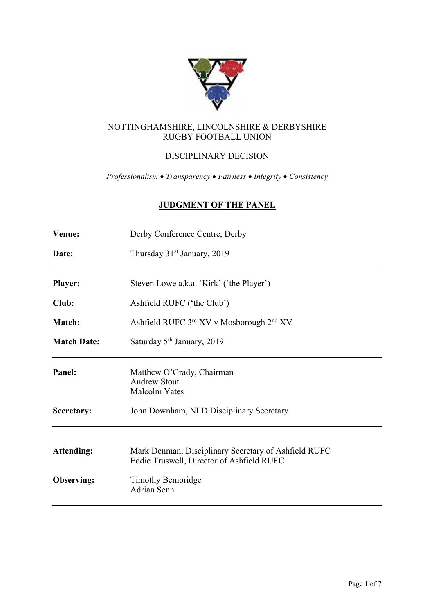

## NOTTINGHAMSHIRE, LINCOLNSHIRE & DERBYSHIRE RUGBY FOOTBALL UNION

# DISCIPLINARY DECISION

*Professionalism* • *Transparency* • *Fairness* • *Integrity* • *Consistency*

# **JUDGMENT OF THE PANEL**

| Venue:             | Derby Conference Centre, Derby                                                                    |
|--------------------|---------------------------------------------------------------------------------------------------|
| Date:              | Thursday 31 <sup>st</sup> January, 2019                                                           |
| <b>Player:</b>     | Steven Lowe a.k.a. 'Kirk' ('the Player')                                                          |
| Club:              | Ashfield RUFC ('the Club')                                                                        |
| <b>Match:</b>      | Ashfield RUFC 3rd XV v Mosborough 2nd XV                                                          |
| <b>Match Date:</b> | Saturday 5 <sup>th</sup> January, 2019                                                            |
| Panel:             | Matthew O'Grady, Chairman<br><b>Andrew Stout</b><br>Malcolm Yates                                 |
| Secretary:         | John Downham, NLD Disciplinary Secretary                                                          |
| <b>Attending:</b>  | Mark Denman, Disciplinary Secretary of Ashfield RUFC<br>Eddie Truswell, Director of Ashfield RUFC |
| <b>Observing:</b>  | <b>Timothy Bembridge</b><br><b>Adrian Senn</b>                                                    |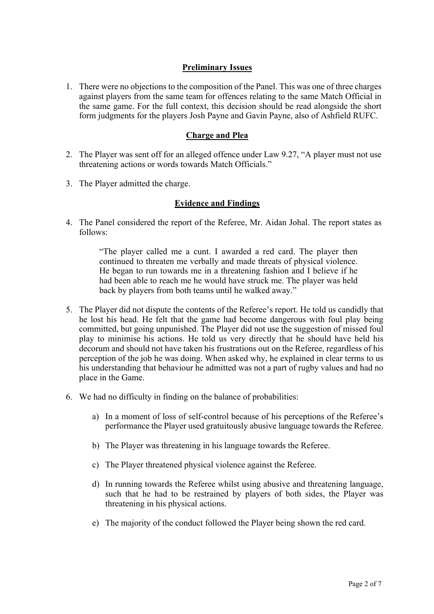## **Preliminary Issues**

1. There were no objections to the composition of the Panel. This was one of three charges against players from the same team for offences relating to the same Match Official in the same game. For the full context, this decision should be read alongside the short form judgments for the players Josh Payne and Gavin Payne, also of Ashfield RUFC.

## **Charge and Plea**

- 2. The Player was sent off for an alleged offence under Law 9.27, "A player must not use threatening actions or words towards Match Officials."
- 3. The Player admitted the charge.

#### **Evidence and Findings**

4. The Panel considered the report of the Referee, Mr. Aidan Johal. The report states as follows:

> "The player called me a cunt. I awarded a red card. The player then continued to threaten me verbally and made threats of physical violence. He began to run towards me in a threatening fashion and I believe if he had been able to reach me he would have struck me. The player was held back by players from both teams until he walked away."

- 5. The Player did not dispute the contents of the Referee's report. He told us candidly that he lost his head. He felt that the game had become dangerous with foul play being committed, but going unpunished. The Player did not use the suggestion of missed foul play to minimise his actions. He told us very directly that he should have held his decorum and should not have taken his frustrations out on the Referee, regardless of his perception of the job he was doing. When asked why, he explained in clear terms to us his understanding that behaviour he admitted was not a part of rugby values and had no place in the Game.
- 6. We had no difficulty in finding on the balance of probabilities:
	- a) In a moment of loss of self-control because of his perceptions of the Referee's performance the Player used gratuitously abusive language towards the Referee.
	- b) The Player was threatening in his language towards the Referee.
	- c) The Player threatened physical violence against the Referee.
	- d) In running towards the Referee whilst using abusive and threatening language, such that he had to be restrained by players of both sides, the Player was threatening in his physical actions.
	- e) The majority of the conduct followed the Player being shown the red card.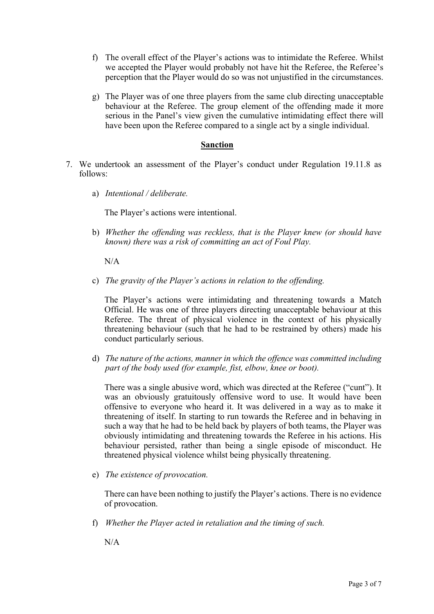- f) The overall effect of the Player's actions was to intimidate the Referee. Whilst we accepted the Player would probably not have hit the Referee, the Referee's perception that the Player would do so was not unjustified in the circumstances.
- g) The Player was of one three players from the same club directing unacceptable behaviour at the Referee. The group element of the offending made it more serious in the Panel's view given the cumulative intimidating effect there will have been upon the Referee compared to a single act by a single individual.

## **Sanction**

- 7. We undertook an assessment of the Player's conduct under Regulation 19.11.8 as follows:
	- a) *Intentional / deliberate.*

The Player's actions were intentional.

b) *Whether the offending was reckless, that is the Player knew (or should have known) there was a risk of committing an act of Foul Play.*

 $N/A$ 

c) *The gravity of the Player's actions in relation to the offending.*

The Player's actions were intimidating and threatening towards a Match Official. He was one of three players directing unacceptable behaviour at this Referee. The threat of physical violence in the context of his physically threatening behaviour (such that he had to be restrained by others) made his conduct particularly serious.

d) *The nature of the actions, manner in which the offence was committed including part of the body used (for example, fist, elbow, knee or boot).*

There was a single abusive word, which was directed at the Referee ("cunt"). It was an obviously gratuitously offensive word to use. It would have been offensive to everyone who heard it. It was delivered in a way as to make it threatening of itself. In starting to run towards the Referee and in behaving in such a way that he had to be held back by players of both teams, the Player was obviously intimidating and threatening towards the Referee in his actions. His behaviour persisted, rather than being a single episode of misconduct. He threatened physical violence whilst being physically threatening.

e) *The existence of provocation.*

There can have been nothing to justify the Player's actions. There is no evidence of provocation.

f) *Whether the Player acted in retaliation and the timing of such.*

N/A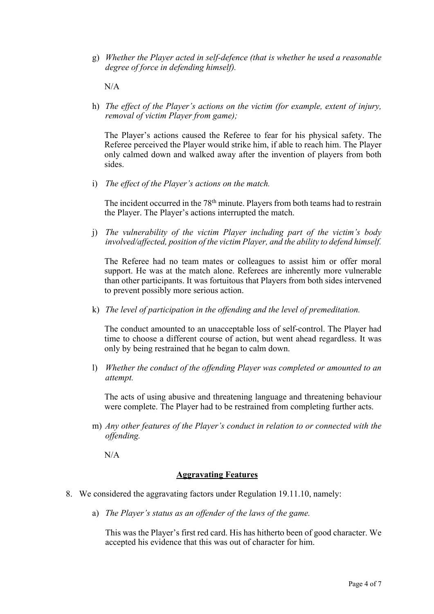g) *Whether the Player acted in self-defence (that is whether he used a reasonable degree of force in defending himself).*

N/A

h) *The effect of the Player's actions on the victim (for example, extent of injury, removal of victim Player from game);* 

The Player's actions caused the Referee to fear for his physical safety. The Referee perceived the Player would strike him, if able to reach him. The Player only calmed down and walked away after the invention of players from both sides.

i) *The effect of the Player's actions on the match.*

The incident occurred in the 78<sup>th</sup> minute. Players from both teams had to restrain the Player. The Player's actions interrupted the match.

j) *The vulnerability of the victim Player including part of the victim's body involved/affected, position of the victim Player, and the ability to defend himself.*

The Referee had no team mates or colleagues to assist him or offer moral support. He was at the match alone. Referees are inherently more vulnerable than other participants. It was fortuitous that Players from both sides intervened to prevent possibly more serious action.

k) *The level of participation in the offending and the level of premeditation.*

The conduct amounted to an unacceptable loss of self-control. The Player had time to choose a different course of action, but went ahead regardless. It was only by being restrained that he began to calm down.

l) *Whether the conduct of the offending Player was completed or amounted to an attempt.*

The acts of using abusive and threatening language and threatening behaviour were complete. The Player had to be restrained from completing further acts.

m) *Any other features of the Player's conduct in relation to or connected with the offending.*

 $N/A$ 

## **Aggravating Features**

- 8. We considered the aggravating factors under Regulation 19.11.10, namely:
	- a) *The Player's status as an offender of the laws of the game.*

This was the Player's first red card. His has hitherto been of good character. We accepted his evidence that this was out of character for him.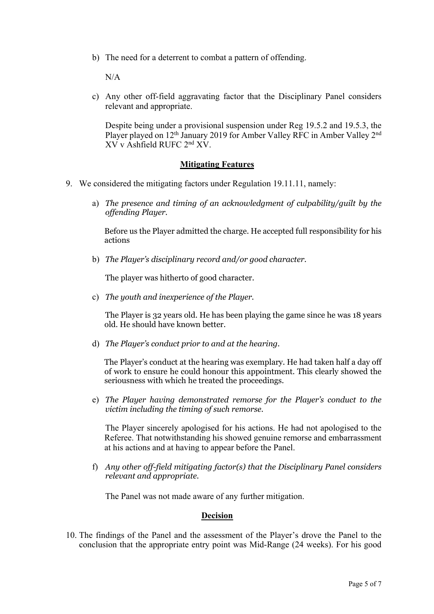b) The need for a deterrent to combat a pattern of offending.

 $N/A$ 

c) Any other off-field aggravating factor that the Disciplinary Panel considers relevant and appropriate.

Despite being under a provisional suspension under Reg 19.5.2 and 19.5.3, the Player played on 12<sup>th</sup> January 2019 for Amber Valley RFC in Amber Valley 2<sup>nd</sup> XV v Ashfield RUFC 2nd XV.

#### **Mitigating Features**

- 9. We considered the mitigating factors under Regulation 19.11.11, namely:
	- a) *The presence and timing of an acknowledgment of culpability/guilt by the offending Player.*

Before us the Player admitted the charge. He accepted full responsibility for his actions

b) *The Player's disciplinary record and/or good character.*

The player was hitherto of good character.

c) *The youth and inexperience of the Player.*

The Player is 32 years old. He has been playing the game since he was 18 years old. He should have known better.

d) *The Player's conduct prior to and at the hearing*.

The Player's conduct at the hearing was exemplary. He had taken half a day off of work to ensure he could honour this appointment. This clearly showed the seriousness with which he treated the proceedings.

e) *The Player having demonstrated remorse for the Player's conduct to the victim including the timing of such remorse.*

The Player sincerely apologised for his actions. He had not apologised to the Referee. That notwithstanding his showed genuine remorse and embarrassment at his actions and at having to appear before the Panel.

f) *Any other off-field mitigating factor(s) that the Disciplinary Panel considers relevant and appropriate.* 

The Panel was not made aware of any further mitigation.

#### **Decision**

10. The findings of the Panel and the assessment of the Player's drove the Panel to the conclusion that the appropriate entry point was Mid-Range (24 weeks). For his good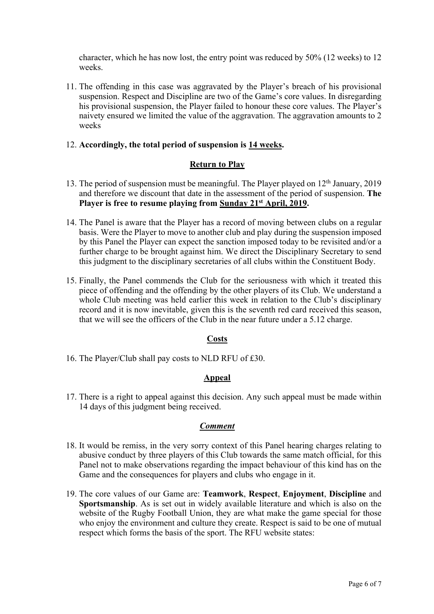character, which he has now lost, the entry point was reduced by 50% (12 weeks) to 12 weeks.

11. The offending in this case was aggravated by the Player's breach of his provisional suspension. Respect and Discipline are two of the Game's core values. In disregarding his provisional suspension, the Player failed to honour these core values. The Player's naivety ensured we limited the value of the aggravation. The aggravation amounts to 2 weeks

## 12. **Accordingly, the total period of suspension is 14 weeks.**

## **Return to Play**

- 13. The period of suspension must be meaningful. The Player played on  $12<sup>th</sup>$  January, 2019 and therefore we discount that date in the assessment of the period of suspension. **The Player is free to resume playing from Sunday 21st April, 2019.**
- 14. The Panel is aware that the Player has a record of moving between clubs on a regular basis. Were the Player to move to another club and play during the suspension imposed by this Panel the Player can expect the sanction imposed today to be revisited and/or a further charge to be brought against him. We direct the Disciplinary Secretary to send this judgment to the disciplinary secretaries of all clubs within the Constituent Body.
- 15. Finally, the Panel commends the Club for the seriousness with which it treated this piece of offending and the offending by the other players of its Club. We understand a whole Club meeting was held earlier this week in relation to the Club's disciplinary record and it is now inevitable, given this is the seventh red card received this season, that we will see the officers of the Club in the near future under a 5.12 charge.

## **Costs**

16. The Player/Club shall pay costs to NLD RFU of £30.

## **Appeal**

17. There is a right to appeal against this decision. Any such appeal must be made within 14 days of this judgment being received.

## *Comment*

- 18. It would be remiss, in the very sorry context of this Panel hearing charges relating to abusive conduct by three players of this Club towards the same match official, for this Panel not to make observations regarding the impact behaviour of this kind has on the Game and the consequences for players and clubs who engage in it.
- 19. The core values of our Game are: **Teamwork**, **Respect**, **Enjoyment**, **Discipline** and **Sportsmanship**. As is set out in widely available literature and which is also on the website of the Rugby Football Union, they are what make the game special for those who enjoy the environment and culture they create. Respect is said to be one of mutual respect which forms the basis of the sport. The RFU website states: